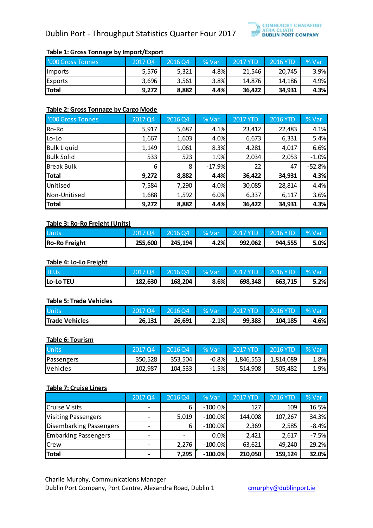# Dublin Port - Throughput Statistics Quarter Four 2017



# **Table 1: Gross Tonnage by Import/Export**

| '000 Gross Tonnes | 2017 Q4 | 2016 04 | % Var | 2017 YTD | 2016 YTD | % Var |
|-------------------|---------|---------|-------|----------|----------|-------|
| Imports           | 5,576   | 5,321   | 4.8%  | 21,546   | 20.745   | 3.9%  |
| Exports           | 3,696   | 3,561   | 3.8%  | 14,876   | 14,186   | 4.9%  |
| <b>Total</b>      | 9,272   | 8,882   | 4.4%  | 36.422   | 34.931   | 4.3%  |

#### **Table 2: Gross Tonnage by Cargo Mode**

| '000 Gross Tonnes  | 2017 Q4 | 2016 Q4 | % Var    | <b>2017 YTD</b> | <b>2016 YTD</b> | % Var    |
|--------------------|---------|---------|----------|-----------------|-----------------|----------|
| Ro-Ro              | 5,917   | 5,687   | 4.1%     | 23,412          | 22,483          | 4.1%     |
| Lo-Lo              | 1,667   | 1,603   | 4.0%     | 6,673           | 6,331           | 5.4%     |
| <b>Bulk Liquid</b> | 1,149   | 1,061   | 8.3%     | 4,281           | 4,017           | 6.6%     |
| <b>Bulk Solid</b>  | 533     | 523     | 1.9%     | 2,034           | 2,053           | $-1.0%$  |
| <b>Break Bulk</b>  | 6       | 8       | $-17.9%$ | 22              | 47              | $-52.8%$ |
| <b>Total</b>       | 9,272   | 8,882   | 4.4%     | 36,422          | 34,931          | 4.3%     |
| Unitised           | 7,584   | 7,290   | 4.0%     | 30,085          | 28,814          | 4.4%     |
| Non-Unitised       | 1,688   | 1,592   | 6.0%     | 6,337           | 6,117           | 3.6%     |
| <b>Total</b>       | 9,272   | 8,882   | 4.4%     | 36,422          | 34,931          | 4.3%     |

### **Table 3: Ro-Ro Freight (Units)**

| <b>Units</b>         | 2017 04 | 201604  | % Vari | 2017 YTD | $\vert$ 2016 YTD | ∣%Var |
|----------------------|---------|---------|--------|----------|------------------|-------|
| <b>Ro-Ro Freight</b> | 255,600 | 245,194 | 4.2%   | 992,062  | 944,555          | 5.0%  |

#### **Table 4: Lo-Lo Freight**

| <b>TEUs</b>      | 2017 04 | 201604  | <b>% Var</b> | $\sqrt{2017 \text{ YTD}}$ 2016 YTD |         | 4 % Var |
|------------------|---------|---------|--------------|------------------------------------|---------|---------|
| <b>Lo-Lo TEU</b> | 182,630 | 168,204 | 8.6%         | 698.348                            | 663.715 | 5.2%    |

#### **Table 5: Trade Vehicles**

| <b>Units</b>          | 2017 O4. | 2016 O4' | % Var   | 2017 YTD | 2016 YTD | % Var   |
|-----------------------|----------|----------|---------|----------|----------|---------|
| <b>Trade Vehicles</b> | 26,131   | 26,691   | $-2.1%$ | 99,383   | 104,185  | $-4.6%$ |

#### **Table 6: Tourism**

| <b>Units</b> | 2017 04 | 2016 O4 | $%$ Var | ' 2017 YTD | 2016 YTD  | % Var |
|--------------|---------|---------|---------|------------|-----------|-------|
| Passengers   | 350.528 | 353.504 | $-0.8%$ | 1.846.553  | 1,814,089 | 1.8%  |
| Vehicles     | 102,987 | 104,533 | $-1.5%$ | 514.908    | 505,482   | 1.9%  |

## **Table 7: Cruise Liners**

|                                | 2017 Q4                      | 2016 Q4 | % Var      | <b>2017 YTD</b> | <b>2016 YTD</b> | % Var   |
|--------------------------------|------------------------------|---------|------------|-----------------|-----------------|---------|
| Cruise Visits                  | $\overline{\phantom{a}}$     | 6       | $-100.0\%$ | 127             | 109             | 16.5%   |
| <b>Visiting Passengers</b>     | ۰                            | 5,019   | $-100.0\%$ | 144,008         | 107,267         | 34.3%   |
| <b>Disembarking Passengers</b> | $\overline{\phantom{0}}$     | 6       | $-100.0\%$ | 2,369           | 2,585           | $-8.4%$ |
| <b>Embarking Passengers</b>    | $\overline{\phantom{0}}$     |         | 0.0%       | 2,421           | 2,617           | $-7.5%$ |
| <b>Crew</b>                    |                              | 2,276   | $-100.0\%$ | 63,621          | 49,240          | 29.2%   |
| <b>Total</b>                   | $\qquad \qquad \blacksquare$ | 7,295   | $-100.0\%$ | 210,050         | 159,124         | 32.0%   |

Charlie Murphy, Communications Manager Dublin Port Company, Port Centre, Alexandra Road, Dublin 1 [cmurphy@dublinport.ie](mailto:cmurphy@dublinport.ie)